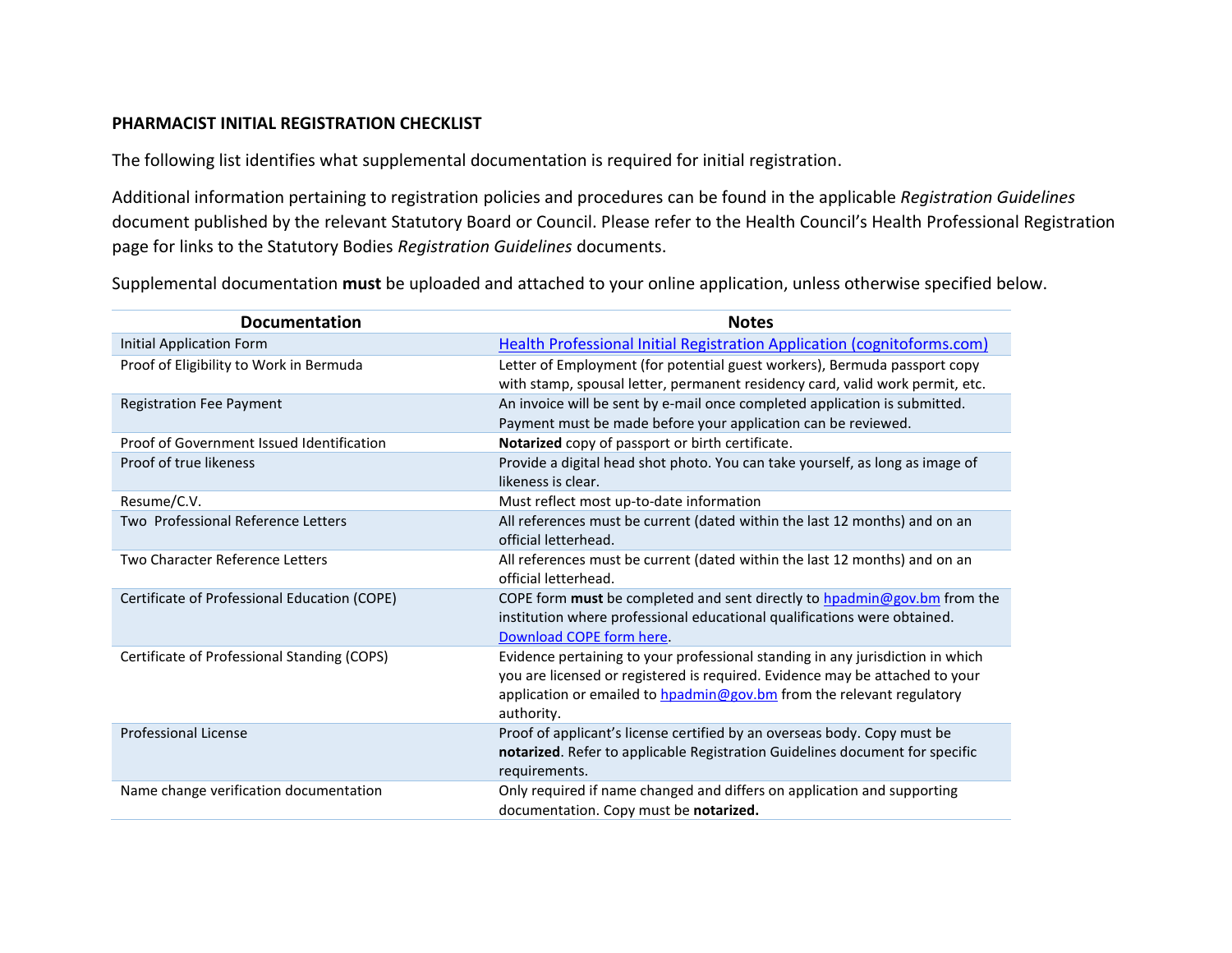## **PHARMACIST INITIAL REGISTRATION CHECKLIST**

The following list identifies what supplemental documentation is required for initial registration.

Additional information pertaining to registration policies and procedures can be found in the applicable *Registration Guidelines* document published by the relevant Statutory Board or Council. Please refer to the Health Council's Health Professional Registration page for links to the Statutory Bodies *Registration Guidelines* documents.

Supplemental documentation **must** be uploaded and attached to your online application, unless otherwise specified below.

| <b>Documentation</b>                         | <b>Notes</b>                                                                                                                                                                                                                                          |
|----------------------------------------------|-------------------------------------------------------------------------------------------------------------------------------------------------------------------------------------------------------------------------------------------------------|
| <b>Initial Application Form</b>              | Health Professional Initial Registration Application (cognitoforms.com)                                                                                                                                                                               |
| Proof of Eligibility to Work in Bermuda      | Letter of Employment (for potential guest workers), Bermuda passport copy<br>with stamp, spousal letter, permanent residency card, valid work permit, etc.                                                                                            |
| <b>Registration Fee Payment</b>              | An invoice will be sent by e-mail once completed application is submitted.<br>Payment must be made before your application can be reviewed.                                                                                                           |
| Proof of Government Issued Identification    | Notarized copy of passport or birth certificate.                                                                                                                                                                                                      |
| Proof of true likeness                       | Provide a digital head shot photo. You can take yourself, as long as image of<br>likeness is clear.                                                                                                                                                   |
| Resume/C.V.                                  | Must reflect most up-to-date information                                                                                                                                                                                                              |
| Two Professional Reference Letters           | All references must be current (dated within the last 12 months) and on an<br>official letterhead.                                                                                                                                                    |
| Two Character Reference Letters              | All references must be current (dated within the last 12 months) and on an<br>official letterhead.                                                                                                                                                    |
| Certificate of Professional Education (COPE) | COPE form must be completed and sent directly to hpadmin@gov.bm from the<br>institution where professional educational qualifications were obtained.<br>Download COPE form here.                                                                      |
| Certificate of Professional Standing (COPS)  | Evidence pertaining to your professional standing in any jurisdiction in which<br>you are licensed or registered is required. Evidence may be attached to your<br>application or emailed to hpadmin@gov.bm from the relevant regulatory<br>authority. |
| <b>Professional License</b>                  | Proof of applicant's license certified by an overseas body. Copy must be<br>notarized. Refer to applicable Registration Guidelines document for specific<br>requirements.                                                                             |
| Name change verification documentation       | Only required if name changed and differs on application and supporting<br>documentation. Copy must be notarized.                                                                                                                                     |